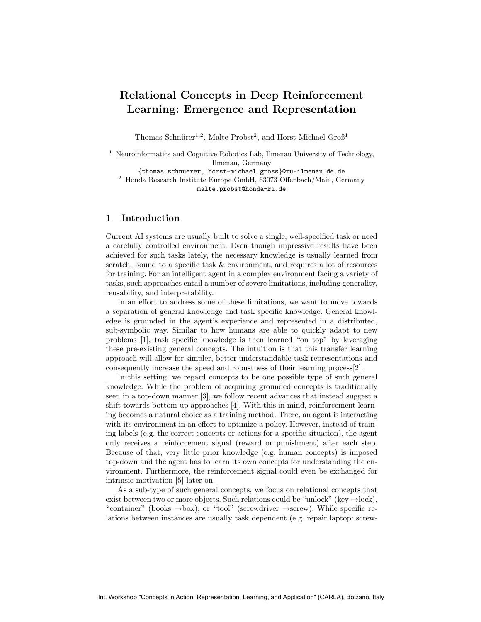# Relational Concepts in Deep Reinforcement Learning: Emergence and Representation

Thomas Schnürer<sup>1,2</sup>, Malte Probst<sup>2</sup>, and Horst Michael Groß<sup>1</sup>

<sup>1</sup> Neuroinformatics and Cognitive Robotics Lab, Ilmenau University of Technology, Ilmenau, Germany {thomas.schnuerer, horst-michael.gross}@tu-ilmenau.de.de

<sup>2</sup> Honda Research Institute Europe GmbH, 63073 Offenbach/Main, Germany malte.probst@honda-ri.de

## 1 Introduction

Current AI systems are usually built to solve a single, well-specified task or need a carefully controlled environment. Even though impressive results have been achieved for such tasks lately, the necessary knowledge is usually learned from scratch, bound to a specific task & environment, and requires a lot of resources for training. For an intelligent agent in a complex environment facing a variety of tasks, such approaches entail a number of severe limitations, including generality, reusability, and interpretability.

In an effort to address some of these limitations, we want to move towards a separation of general knowledge and task specific knowledge. General knowledge is grounded in the agent's experience and represented in a distributed, sub-symbolic way. Similar to how humans are able to quickly adapt to new problems [1], task specific knowledge is then learned "on top" by leveraging these pre-existing general concepts. The intuition is that this transfer learning approach will allow for simpler, better understandable task representations and consequently increase the speed and robustness of their learning process[2].

In this setting, we regard concepts to be one possible type of such general knowledge. While the problem of acquiring grounded concepts is traditionally seen in a top-down manner [3], we follow recent advances that instead suggest a shift towards bottom-up approaches [4]. With this in mind, reinforcement learning becomes a natural choice as a training method. There, an agent is interacting with its environment in an effort to optimize a policy. However, instead of training labels (e.g. the correct concepts or actions for a specific situation), the agent only receives a reinforcement signal (reward or punishment) after each step. Because of that, very little prior knowledge (e.g. human concepts) is imposed top-down and the agent has to learn its own concepts for understanding the environment. Furthermore, the reinforcement signal could even be exchanged for intrinsic motivation [5] later on.

As a sub-type of such general concepts, we focus on relational concepts that exist between two or more objects. Such relations could be "unlock" (key  $\rightarrow$ lock), "container" (books  $\rightarrow$ box), or "tool" (screwdriver  $\rightarrow$ screw). While specific relations between instances are usually task dependent (e.g. repair laptop: screw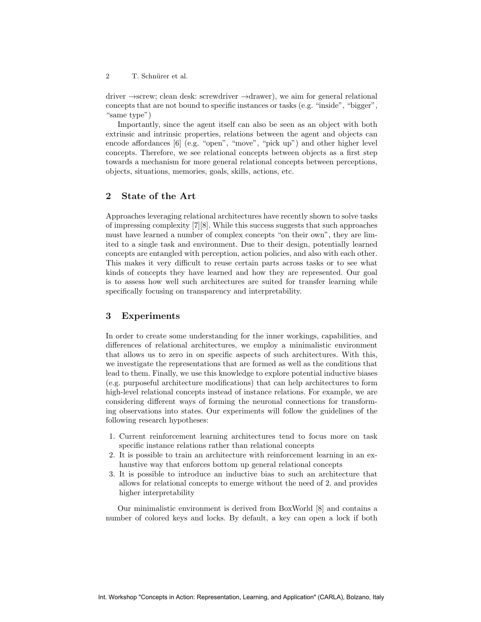2 T. Schnürer et al.

driver →screw; clean desk: screwdriver →drawer), we aim for general relational concepts that are not bound to specific instances or tasks (e.g. "inside", "bigger", "same type")

Importantly, since the agent itself can also be seen as an object with both extrinsic and intrinsic properties, relations between the agent and objects can encode affordances [6] (e.g. "open", "move", "pick up") and other higher level concepts. Therefore, we see relational concepts between objects as a first step towards a mechanism for more general relational concepts between perceptions, objects, situations, memories, goals, skills, actions, etc.

### 2 State of the Art

Approaches leveraging relational architectures have recently shown to solve tasks of impressing complexity [7][8]. While this success suggests that such approaches must have learned a number of complex concepts "on their own", they are limited to a single task and environment. Due to their design, potentially learned concepts are entangled with perception, action policies, and also with each other. This makes it very difficult to reuse certain parts across tasks or to see what kinds of concepts they have learned and how they are represented. Our goal is to assess how well such architectures are suited for transfer learning while specifically focusing on transparency and interpretability.

### 3 Experiments

In order to create some understanding for the inner workings, capabilities, and differences of relational architectures, we employ a minimalistic environment that allows us to zero in on specific aspects of such architectures. With this, we investigate the representations that are formed as well as the conditions that lead to them. Finally, we use this knowledge to explore potential inductive biases (e.g. purposeful architecture modifications) that can help architectures to form high-level relational concepts instead of instance relations. For example, we are considering different ways of forming the neuronal connections for transforming observations into states. Our experiments will follow the guidelines of the following research hypotheses:

- 1. Current reinforcement learning architectures tend to focus more on task specific instance relations rather than relational concepts
- 2. It is possible to train an architecture with reinforcement learning in an exhaustive way that enforces bottom up general relational concepts
- 3. It is possible to introduce an inductive bias to such an architecture that allows for relational concepts to emerge without the need of 2. and provides higher interpretability

Our minimalistic environment is derived from BoxWorld [8] and contains a number of colored keys and locks. By default, a key can open a lock if both

Int. Workshop "Concepts in Action: Representation, Learning, and Application" (CARLA), Bolzano, Italy